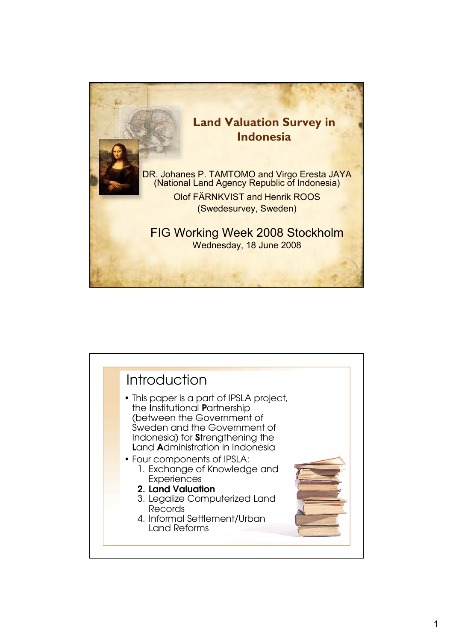

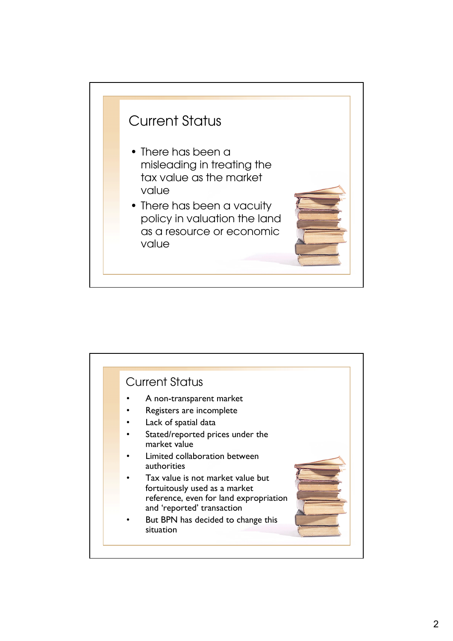

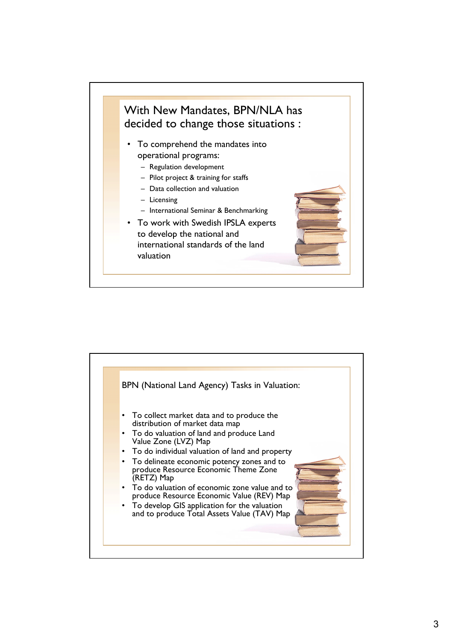

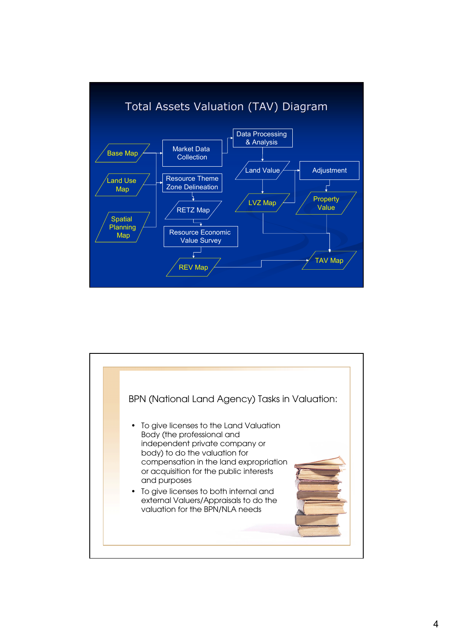![](_page_3_Figure_0.jpeg)

![](_page_3_Figure_1.jpeg)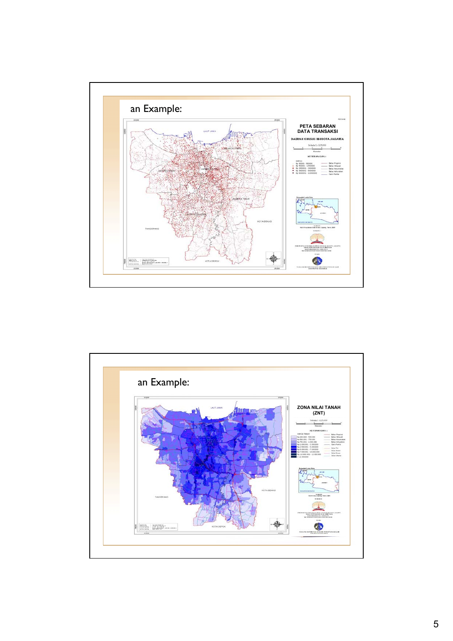![](_page_4_Figure_0.jpeg)

![](_page_4_Figure_1.jpeg)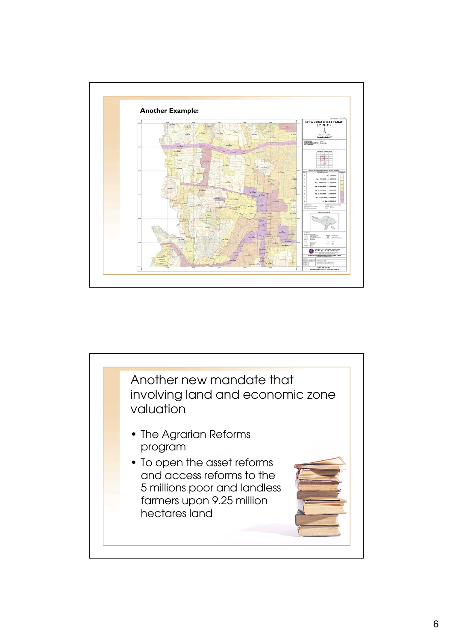![](_page_5_Figure_0.jpeg)

![](_page_5_Picture_1.jpeg)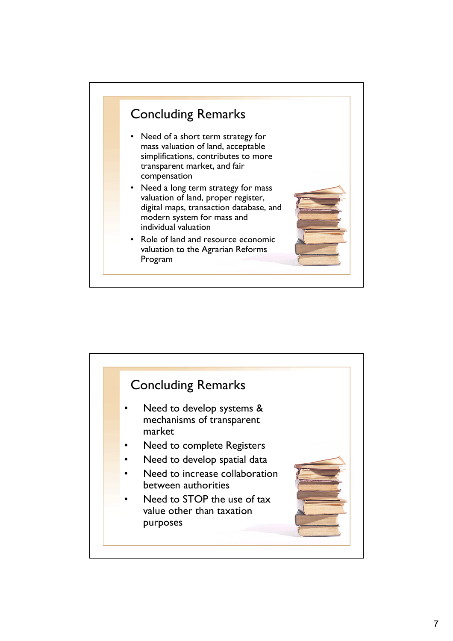![](_page_6_Figure_0.jpeg)

![](_page_6_Figure_1.jpeg)